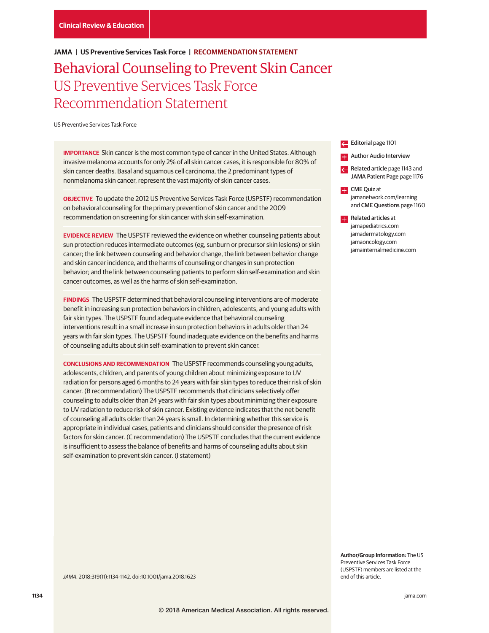# **JAMA | US Preventive Services Task Force | RECOMMENDATION STATEMENT**

# Behavioral Counseling to Prevent Skin Cancer US Preventive Services Task Force Recommendation Statement

US Preventive Services Task Force

**IMPORTANCE** Skin cancer is the most common type of cancer in the United States. Although invasive melanoma accounts for only 2% of all skin cancer cases, it is responsible for 80% of skin cancer deaths. Basal and squamous cell carcinoma, the 2 predominant types of nonmelanoma skin cancer, represent the vast majority of skin cancer cases.

**OBJECTIVE** To update the 2012 US Preventive Services Task Force (USPSTF) recommendation on behavioral counseling for the primary prevention of skin cancer and the 2009 recommendation on screening for skin cancer with skin self-examination.

**EVIDENCE REVIEW** The USPSTF reviewed the evidence on whether counseling patients about sun protection reduces intermediate outcomes (eg, sunburn or precursor skin lesions) or skin cancer; the link between counseling and behavior change, the link between behavior change and skin cancer incidence, and the harms of counseling or changes in sun protection behavior; and the link between counseling patients to perform skin self-examination and skin cancer outcomes, as well as the harms of skin self-examination.

**FINDINGS** The USPSTF determined that behavioral counseling interventions are of moderate benefit in increasing sun protection behaviors in children, adolescents, and young adults with fair skin types. The USPSTF found adequate evidence that behavioral counseling interventions result in a small increase in sun protection behaviors in adults older than 24 years with fair skin types. The USPSTF found inadequate evidence on the benefits and harms of counseling adults about skin self-examination to prevent skin cancer.

**CONCLUSIONS AND RECOMMENDATION** The USPSTF recommends counseling young adults, adolescents, children, and parents of young children about minimizing exposure to UV radiation for persons aged 6 months to 24 years with fair skin types to reduce their risk of skin cancer. (B recommendation) The USPSTF recommends that clinicians selectively offer counseling to adults older than 24 years with fair skin types about minimizing their exposure to UV radiation to reduce risk of skin cancer. Existing evidence indicates that the net benefit of counseling all adults older than 24 years is small. In determining whether this service is appropriate in individual cases, patients and clinicians should consider the presence of risk factors for skin cancer. (C recommendation) The USPSTF concludes that the current evidence is insufficient to assess the balance of benefits and harms of counseling adults about skin self-examination to prevent skin cancer. (I statement)

Editorial page 1101

- **E.** Author Audio Interview
- Related article page 1143 and JAMA Patient Page page 1176
- **CME** Quiz at jamanetwork.com/learning and CME Questions page 1160
- **Related articles at** jamapediatrics.com jamadermatology.com jamaoncology.com jamainternalmedicine.com

**Author/Group Information:** The US Preventive Services Task Force (USPSTF) members are listed at the end of this article.

JAMA. 2018;319(11):1134-1142. doi:10.1001/jama.2018.1623

**1134 (Reprinted)** jama.com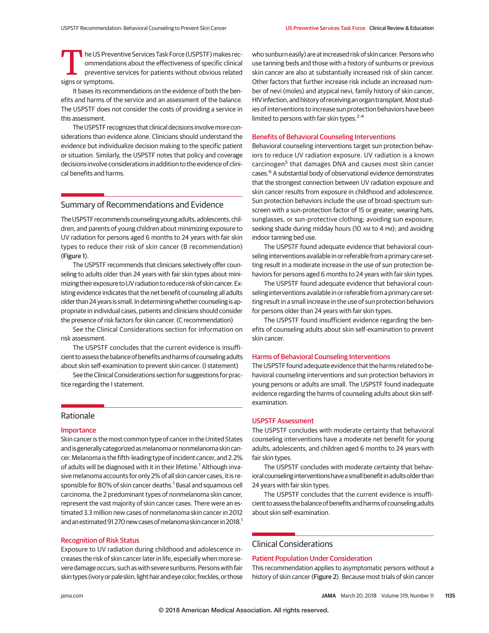The US Preventive Services Task Force (USPSTF) makes rec-<br>
preventive services for patients without obvious related<br>
signs or symptoms ommendations about the effectiveness of specific clinical signs or symptoms.

It bases its recommendations on the evidence of both the benefits and harms of the service and an assessment of the balance. The USPSTF does not consider the costs of providing a service in this assessment.

The USPSTF recognizes that clinical decisions involve more considerations than evidence alone. Clinicians should understand the evidence but individualize decision making to the specific patient or situation. Similarly, the USPSTF notes that policy and coverage decisions involve considerations in addition to the evidence of clinical benefits and harms.

# Summary of Recommendations and Evidence

The USPSTF recommends counseling young adults, adolescents, children, and parents of young children about minimizing exposure to UV radiation for persons aged 6 months to 24 years with fair skin types to reduce their risk of skin cancer (B recommendation) (Figure 1).

The USPSTF recommends that clinicians selectively offer counseling to adults older than 24 years with fair skin types about minimizing theirexposure toUV radiation to reduce risk of skin cancer. Existing evidence indicates that the net benefit of counseling all adults older than 24 years is small.In determining whether counseling is appropriate in individual cases, patients and clinicians should consider the presence of risk factors for skin cancer. (C recommendation)

See the Clinical Considerations section for information on risk assessment.

The USPSTF concludes that the current evidence is insufficient to assess the balance of benefits and harms of counseling adults about skin self-examination to prevent skin cancer. (I statement)

See the Clinical Considerations section for suggestions for practice regarding the I statement.

# Rationale

#### Importance

Skin cancer is the most common type of cancer in the United States and is generally categorized asmelanoma or nonmelanoma skin cancer. Melanoma is the fifth-leading type of incident cancer, and 2.2% of adults will be diagnosed with it in their lifetime.<sup>1</sup> Although invasive melanoma accounts for only 2% of all skin cancer cases, it is responsible for 80% of skin cancer deaths.<sup>1</sup> Basal and squamous cell carcinoma, the 2 predominant types of nonmelanoma skin cancer, represent the vast majority of skin cancer cases. There were an estimated 3.3 million new cases of nonmelanoma skin cancer in 2012 and an estimated 91 270 new cases of melanoma skin cancer in 2018.<sup>1</sup>

# Recognition of Risk Status

Exposure to UV radiation during childhood and adolescence increases the risk of skin cancer later in life, especially when more severe damage occurs, such as with severe sunburns. Persons with fair skin types (ivory or pale skin, light hairandeye color, freckles, or those who sunburn easily) are at increased risk of skin cancer. Persons who use tanning beds and those with a history of sunburns or previous skin cancer are also at substantially increased risk of skin cancer. Other factors that further increase risk include an increased number of nevi (moles) and atypical nevi, family history of skin cancer, HIV infection, and history of receiving an organ transplant. Most studies of interventions to increase sun protection behaviors have been limited to persons with fair skin types. $2-4$ 

#### Benefits of Behavioral Counseling Interventions

Behavioral counseling interventions target sun protection behaviors to reduce UV radiation exposure. UV radiation is a known carcinogen<sup>5</sup> that damages DNA and causes most skin cancer cases.<sup>6</sup> A substantial body of observational evidence demonstrates that the strongest connection between UV radiation exposure and skin cancer results from exposure in childhood and adolescence. Sun protection behaviors include the use of broad-spectrum sunscreen with a sun-protection factor of 15 or greater; wearing hats, sunglasses, or sun-protective clothing; avoiding sun exposure; seeking shade during midday hours (10 AM to 4 PM); and avoiding indoor tanning bed use.

The USPSTF found adequate evidence that behavioral counseling interventions available in or referable from a primary care setting result in a moderate increase in the use of sun protection behaviors for persons aged 6 months to 24 years with fair skin types.

The USPSTF found adequate evidence that behavioral counseling interventions available in or referable from a primary care setting result in a small increase in the use of sun protection behaviors for persons older than 24 years with fair skin types.

The USPSTF found insufficient evidence regarding the benefits of counseling adults about skin self-examination to prevent skin cancer.

## Harms of Behavioral Counseling Interventions

The USPSTF found adequate evidence that the harms related to behavioral counseling interventions and sun protection behaviors in young persons or adults are small. The USPSTF found inadequate evidence regarding the harms of counseling adults about skin selfexamination.

# USPSTF Assessment

The USPSTF concludes with moderate certainty that behavioral counseling interventions have a moderate net benefit for young adults, adolescents, and children aged 6 months to 24 years with fair skin types.

The USPSTF concludes with moderate certainty that behavioral counseling interventions have a small benefit in adults older than 24 years with fair skin types.

The USPSTF concludes that the current evidence is insufficient to assess the balance of benefits and harms of counseling adults about skin self-examination.

# Clinical Considerations

# Patient Population Under Consideration

This recommendation applies to asymptomatic persons without a history of skin cancer (Figure 2). Because most trials of skin cancer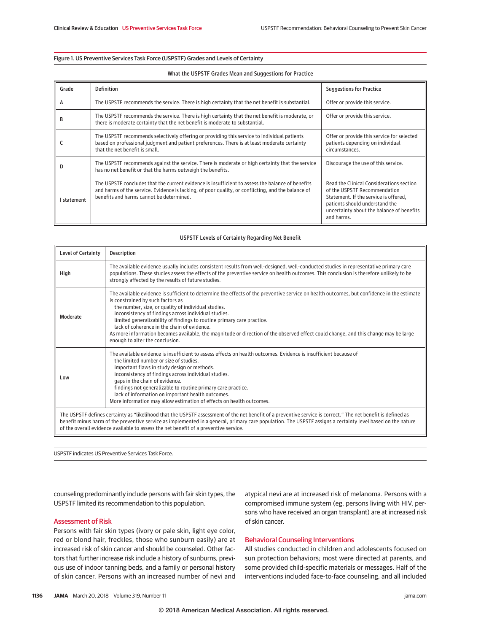# Figure 1. US Preventive Services Task Force (USPSTF) Grades and Levels of Certainty

#### What the USPSTF Grades Mean and Suggestions for Practice

| Grade     | <b>Definition</b>                                                                                                                                                                                                                                  | <b>Suggestions for Practice</b>                                                                                                                                                                                |
|-----------|----------------------------------------------------------------------------------------------------------------------------------------------------------------------------------------------------------------------------------------------------|----------------------------------------------------------------------------------------------------------------------------------------------------------------------------------------------------------------|
| A         | The USPSTF recommends the service. There is high certainty that the net benefit is substantial.                                                                                                                                                    | Offer or provide this service.                                                                                                                                                                                 |
| в         | The USPSTF recommends the service. There is high certainty that the net benefit is moderate, or<br>there is moderate certainty that the net benefit is moderate to substantial.                                                                    | Offer or provide this service.                                                                                                                                                                                 |
|           | The USPSTF recommends selectively offering or providing this service to individual patients<br>based on professional judgment and patient preferences. There is at least moderate certainty<br>that the net benefit is small.                      | Offer or provide this service for selected<br>patients depending on individual<br>circumstances.                                                                                                               |
| D         | The USPSTF recommends against the service. There is moderate or high certainty that the service<br>has no net benefit or that the harms outweigh the benefits.                                                                                     | Discourage the use of this service.                                                                                                                                                                            |
| statement | The USPSTF concludes that the current evidence is insufficient to assess the balance of benefits<br>and harms of the service. Evidence is lacking, of poor quality, or conflicting, and the balance of<br>benefits and harms cannot be determined. | Read the Clinical Considerations section<br>of the USPSTF Recommendation<br>Statement. If the service is offered,<br>patients should understand the<br>uncertainty about the balance of benefits<br>and harms. |

# USPSTF Levels of Certainty Regarding Net Benefit

| <b>Level of Certainty</b>                                                                                                                                                                                                                                                                                                                                                                                           | <b>Description</b>                                                                                                                                                                                                                                                                                                                                                                                                                                                                                                                                                                                |  |
|---------------------------------------------------------------------------------------------------------------------------------------------------------------------------------------------------------------------------------------------------------------------------------------------------------------------------------------------------------------------------------------------------------------------|---------------------------------------------------------------------------------------------------------------------------------------------------------------------------------------------------------------------------------------------------------------------------------------------------------------------------------------------------------------------------------------------------------------------------------------------------------------------------------------------------------------------------------------------------------------------------------------------------|--|
| High                                                                                                                                                                                                                                                                                                                                                                                                                | The available evidence usually includes consistent results from well-designed, well-conducted studies in representative primary care<br>populations. These studies assess the effects of the preventive service on health outcomes. This conclusion is therefore unlikely to be<br>strongly affected by the results of future studies.                                                                                                                                                                                                                                                            |  |
| Moderate                                                                                                                                                                                                                                                                                                                                                                                                            | The available evidence is sufficient to determine the effects of the preventive service on health outcomes, but confidence in the estimate<br>is constrained by such factors as<br>the number, size, or quality of individual studies.<br>inconsistency of findings across individual studies.<br>limited generalizability of findings to routine primary care practice.<br>lack of coherence in the chain of evidence.<br>As more information becomes available, the magnitude or direction of the observed effect could change, and this change may be large<br>enough to alter the conclusion. |  |
| Low                                                                                                                                                                                                                                                                                                                                                                                                                 | The available evidence is insufficient to assess effects on health outcomes. Evidence is insufficient because of<br>the limited number or size of studies.<br>important flaws in study design or methods.<br>inconsistency of findings across individual studies.<br>gaps in the chain of evidence.<br>findings not generalizable to routine primary care practice.<br>lack of information on important health outcomes.<br>More information may allow estimation of effects on health outcomes.                                                                                                  |  |
| The USPSTF defines certainty as "likelihood that the USPSTF assessment of the net benefit of a preventive service is correct." The net benefit is defined as<br>benefit minus harm of the preventive service as implemented in a general, primary care population. The USPSTF assigns a certainty level based on the nature<br>of the overall evidence available to assess the net benefit of a preventive service. |                                                                                                                                                                                                                                                                                                                                                                                                                                                                                                                                                                                                   |  |

USPSTF indicates US Preventive Services Task Force.

counseling predominantly include persons with fair skin types, the USPSTF limited its recommendation to this population.

# Assessment of Risk

Persons with fair skin types (ivory or pale skin, light eye color, red or blond hair, freckles, those who sunburn easily) are at increased risk of skin cancer and should be counseled. Other factors that further increase risk include a history of sunburns, previous use of indoor tanning beds, and a family or personal history of skin cancer. Persons with an increased number of nevi and atypical nevi are at increased risk of melanoma. Persons with a compromised immune system (eg, persons living with HIV, persons who have received an organ transplant) are at increased risk of skin cancer.

# Behavioral Counseling Interventions

All studies conducted in children and adolescents focused on sun protection behaviors; most were directed at parents, and some provided child-specific materials or messages. Half of the interventions included face-to-face counseling, and all included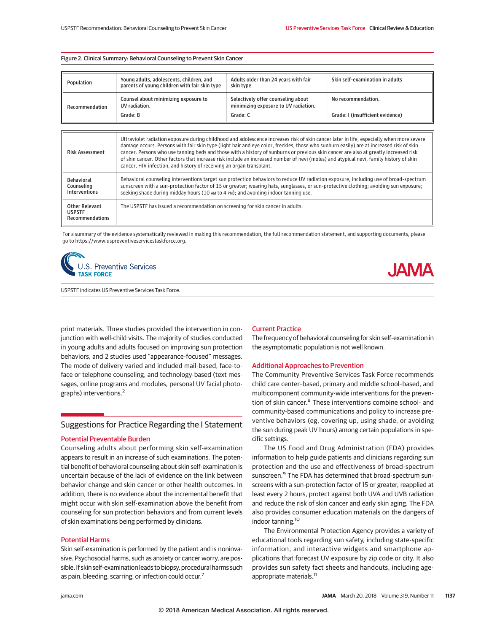#### Figure 2. Clinical Summary: Behavioral Counseling to Prevent Skin Cancer

| Population                                       | Young adults, adolescents, children, and<br>parents of young children with fair skin type                                                                                                                                                                                                                                                                                                                                                                                                                                                                                                                                                     | Adults older than 24 years with fair<br>skin tvpe                          | Skin self-examination in adults  |  |
|--------------------------------------------------|-----------------------------------------------------------------------------------------------------------------------------------------------------------------------------------------------------------------------------------------------------------------------------------------------------------------------------------------------------------------------------------------------------------------------------------------------------------------------------------------------------------------------------------------------------------------------------------------------------------------------------------------------|----------------------------------------------------------------------------|----------------------------------|--|
| Recommendation                                   | Counsel about minimizing exposure to<br>UV radiation.                                                                                                                                                                                                                                                                                                                                                                                                                                                                                                                                                                                         | Selectively offer counseling about<br>minimizing exposure to UV radiation. | No recommendation.               |  |
|                                                  | Grade: B                                                                                                                                                                                                                                                                                                                                                                                                                                                                                                                                                                                                                                      | Grade: C                                                                   | Grade: I (insufficient evidence) |  |
|                                                  |                                                                                                                                                                                                                                                                                                                                                                                                                                                                                                                                                                                                                                               |                                                                            |                                  |  |
| <b>Risk Assessment</b>                           | Ultraviolet radiation exposure during childhood and adolescence increases risk of skin cancer later in life, especially when more severe<br>damage occurs. Persons with fair skin type (light hair and eye color, freckles, those who sunburn easily) are at increased risk of skin<br>cancer. Persons who use tanning beds and those with a history of sunburns or previous skin cancer are also at greatly increased risk<br>of skin cancer. Other factors that increase risk include an increased number of nevi (moles) and atypical nevi, family history of skin<br>cancer, HIV infection, and history of receiving an organ transplant. |                                                                            |                                  |  |
| <b>Behavioral</b><br>Counseling<br>Interventions | Behavioral counseling interventions target sun protection behaviors to reduce UV radiation exposure, including use of broad-spectrum<br>sunscreen with a sun-protection factor of 15 or greater; wearing hats, sunglasses, or sun-protective clothing; avoiding sun exposure;<br>seeking shade during midday hours (10 AM to 4 PM); and avoiding indoor tanning use.                                                                                                                                                                                                                                                                          |                                                                            |                                  |  |

| <b>Other Relevant</b><br><b>USPSTF</b><br><b>Recommendations</b> | The USPSTF has issued a recommendation on screening for skin cancer in adults. |
|------------------------------------------------------------------|--------------------------------------------------------------------------------|

For a summary of the evidence systematically reviewed in making this recommendation, the full recommendation statement, and supporting documents, please go to https://www.uspreventiveservicestaskforce.org.



USPSTF indicates US Preventive Services Task Force.

print materials. Three studies provided the intervention in conjunction with well-child visits. The majority of studies conducted in young adults and adults focused on improving sun protection behaviors, and 2 studies used "appearance-focused" messages. The mode of delivery varied and included mail-based, face-toface or telephone counseling, and technology-based (text messages, online programs and modules, personal UV facial photographs) interventions.<sup>2</sup>

# Suggestions for Practice Regarding the I Statement

# Potential Preventable Burden

Counseling adults about performing skin self-examination appears to result in an increase of such examinations. The potential benefit of behavioral counseling about skin self-examination is uncertain because of the lack of evidence on the link between behavior change and skin cancer or other health outcomes. In addition, there is no evidence about the incremental benefit that might occur with skin self-examination above the benefit from counseling for sun protection behaviors and from current levels of skin examinations being performed by clinicians.

# Potential Harms

Skin self-examination is performed by the patient and is noninvasive. Psychosocial harms, such as anxiety or cancer worry, are possible. If skin self-examination leads to biopsy, procedural harms such as pain, bleeding, scarring, or infection could occur.<sup>7</sup>

# Current Practice

The frequency of behavioral counseling for skin self-examination in the asymptomatic population is not well known.

. ΙΔΜΑ

# Additional Approaches to Prevention

The Community Preventive Services Task Force recommends child care center–based, primary and middle school–based, and multicomponent community-wide interventions for the prevention of skin cancer.<sup>8</sup> These interventions combine school- and community-based communications and policy to increase preventive behaviors (eg, covering up, using shade, or avoiding the sun during peak UV hours) among certain populations in specific settings.

The US Food and Drug Administration (FDA) provides information to help guide patients and clinicians regarding sun protection and the use and effectiveness of broad-spectrum sunscreen.<sup>9</sup> The FDA has determined that broad-spectrum sunscreens with a sun-protection factor of 15 or greater, reapplied at least every 2 hours, protect against both UVA and UVB radiation and reduce the risk of skin cancer and early skin aging. The FDA also provides consumer education materials on the dangers of indoor tanning.<sup>10</sup>

The Environmental Protection Agency provides a variety of educational tools regarding sun safety, including state-specific information, and interactive widgets and smartphone applications that forecast UV exposure by zip code or city. It also provides sun safety fact sheets and handouts, including ageappropriate materials.<sup>11</sup>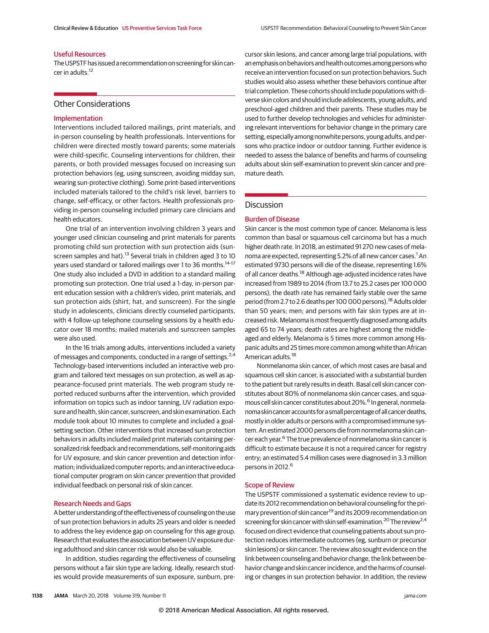## Useful Resources

The USPSTF has issued a recommendation on screening for skin cancer in adults.<sup>12</sup>

#### Other Considerations

# Implementation

Interventions included tailored mailings, print materials, and in-person counseling by health professionals. Interventions for children were directed mostly toward parents; some materials were child-specific. Counseling interventions for children, their parents, or both provided messages focused on increasing sun protection behaviors (eg, using sunscreen, avoiding midday sun, wearing sun-protective clothing). Some print-based interventions included materials tailored to the child's risk level, barriers to change, self-efficacy, or other factors. Health professionals providing in-person counseling included primary care clinicians and health educators.

One trial of an intervention involving children 3 years and younger used clinician counseling and print materials for parents promoting child sun protection with sun protection aids (sunscreen samples and hat).<sup>13</sup> Several trials in children aged 3 to 10 years used standard or tailored mailings over 1 to 36 months.<sup>14-17</sup> One study also included a DVD in addition to a standard mailing promoting sun protection. One trial used a 1-day, in-person parent education session with a children's video, print materials, and sun protection aids (shirt, hat, and sunscreen). For the single study in adolescents, clinicians directly counseled participants, with 4 follow-up telephone counseling sessions by a health educator over 18 months; mailed materials and sunscreen samples were also used.

In the 16 trials among adults, interventions included a variety of messages and components, conducted in a range of settings.<sup>2,4</sup> Technology-based interventions included an interactive web program and tailored text messages on sun protection, as well as appearance-focused print materials. The web program study reported reduced sunburns after the intervention, which provided information on topics such as indoor tanning, UV radiation exposure and health, skin cancer, sunscreen, and skin examination. Each module took about 10 minutes to complete and included a goalsetting section. Other interventions that increased sun protection behaviors in adults included mailed print materials containing personalized risk feedback and recommendations, self-monitoring aids for UV exposure, and skin cancer prevention and detection information; individualized computer reports; and an interactive educational computer program on skin cancer prevention that provided individual feedback on personal risk of skin cancer.

#### Research Needs and Gaps

A better understanding of the effectiveness of counseling on the use of sun protection behaviors in adults 25 years and older is needed to address the key evidence gap on counseling for this age group. Research that evaluates the association between UV exposure during adulthood and skin cancer risk would also be valuable.

In addition, studies regarding the effectiveness of counseling persons without a fair skin type are lacking. Ideally, research studies would provide measurements of sun exposure, sunburn, precursor skin lesions, and cancer among large trial populations, with an emphasis on behaviors and health outcomes among persons who receive an intervention focused on sun protection behaviors. Such studies would also assess whether these behaviors continue after trial completion. These cohorts should include populations with diverse skin colors and should include adolescents, young adults, and preschool-aged children and their parents. These studies may be used to further develop technologies and vehicles for administering relevant interventions for behavior change in the primary care setting, especially among nonwhite persons, young adults, and persons who practice indoor or outdoor tanning. Further evidence is needed to assess the balance of benefits and harms of counseling adults about skin self-examination to prevent skin cancer and premature death.

# Discussion

# Burden of Disease

Skin cancer is the most common type of cancer. Melanoma is less common than basal or squamous cell carcinoma but has a much higher death rate. In 2018, an estimated 91 270 new cases of melanoma are expected, representing 5.2% of all new cancer cases.<sup>1</sup> An estimated 9730 persons will die of the disease, representing 1.6% of all cancer deaths.<sup>18</sup> Although age-adjusted incidence rates have increased from 1989 to 2014 (from 13.7 to 25.2 cases per 100 000 persons), the death rate has remained fairly stable over the same period (from 2.7 to 2.6 deaths per 100 000 persons).<sup>18</sup> Adults older than 50 years; men; and persons with fair skin types are at increased risk. Melanoma is most frequently diagnosed among adults aged 65 to 74 years; death rates are highest among the middleaged and elderly. Melanoma is 5 times more common among Hispanic adults and 25 times more common among white than African American adults.<sup>18</sup>

Nonmelanoma skin cancer, of which most cases are basal and squamous cell skin cancer, is associated with a substantial burden to the patient but rarely results in death. Basal cell skin cancer constitutes about 80% of nonmelanoma skin cancer cases, and squamous cell skin cancer constitutes about 20%.<sup>6</sup> In general, nonmelanoma skin cancer accounts for a small percentage of all cancer deaths, mostly in older adults or persons with a compromised immune system. An estimated 2000 persons die from nonmelanoma skin cancer each year.<sup>6</sup> The true prevalence of nonmelanoma skin cancer is difficult to estimate because it is not a required cancer for registry entry; an estimated 5.4 million cases were diagnosed in 3.3 million persons in 2012.<sup>6</sup>

## Scope of Review

The USPSTF commissioned a systematic evidence review to update its 2012 recommendation on behavioral counseling for the primary prevention of skin cancer<sup>19</sup> and its 2009 recommendation on screening for skin cancer with skin self-examination.<sup>20</sup> The review<sup>2,4</sup> focused on direct evidence that counseling patients about sun protection reduces intermediate outcomes (eg, sunburn or precursor skin lesions) or skin cancer. The review also sought evidence on the link between counseling and behavior change, the link between behavior change and skin cancer incidence, and the harms of counseling or changes in sun protection behavior. In addition, the review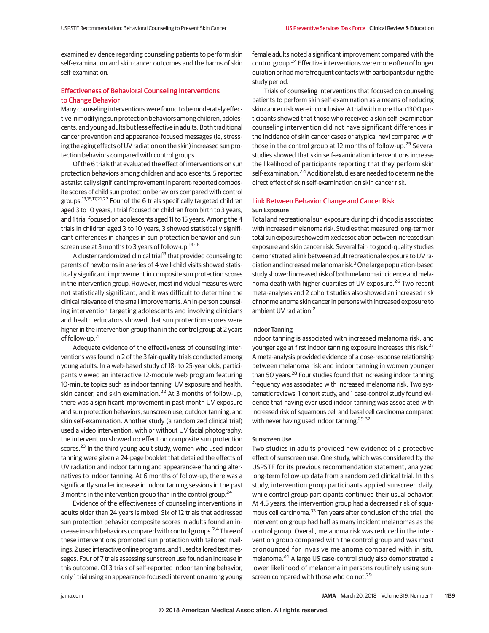examined evidence regarding counseling patients to perform skin self-examination and skin cancer outcomes and the harms of skin self-examination.

# Effectiveness of Behavioral Counseling Interventions to Change Behavior

Many counseling interventions were found to be moderately effective in modifying sun protection behaviors among children, adolescents, and young adults but less effective in adults. Both traditional cancer prevention and appearance-focused messages (ie, stressing the aging effects of UV radiation on the skin) increased sun protection behaviors compared with control groups.

Of the 6 trials that evaluated the effect of interventions on sun protection behaviors among children and adolescents, 5 reported a statistically significant improvement in parent-reported composite scores of child sun protection behaviors compared with control groups.13,15,17,21,22 Four of the 6 trials specifically targeted children aged 3 to 10 years, 1 trial focused on children from birth to 3 years, and 1 trial focused on adolescents aged 11 to 15 years. Among the 4 trials in children aged 3 to 10 years, 3 showed statistically significant differences in changes in sun protection behavior and sunscreen use at 3 months to 3 years of follow-up.<sup>14-16</sup>

A cluster randomized clinical trial<sup>13</sup> that provided counseling to parents of newborns in a series of 4 well-child visits showed statistically significant improvement in composite sun protection scores in the intervention group. However, most individual measures were not statistically significant, and it was difficult to determine the clinical relevance of the small improvements. An in-person counseling intervention targeting adolescents and involving clinicians and health educators showed that sun protection scores were higher in the intervention group than in the control group at 2 years of follow-up.<sup>21</sup>

Adequate evidence of the effectiveness of counseling interventions was found in 2 of the 3 fair-quality trials conducted among young adults. In a web-based study of 18- to 25-year olds, participants viewed an interactive 12-module web program featuring 10-minute topics such as indoor tanning, UV exposure and health, skin cancer, and skin examination.<sup>22</sup> At 3 months of follow-up, there was a significant improvement in past-month UV exposure and sun protection behaviors, sunscreen use, outdoor tanning, and skin self-examination. Another study (a randomized clinical trial) used a video intervention, with or without UV facial photography; the intervention showed no effect on composite sun protection scores.<sup>23</sup> In the third young adult study, women who used indoor tanning were given a 24-page booklet that detailed the effects of UV radiation and indoor tanning and appearance-enhancing alternatives to indoor tanning. At 6 months of follow-up, there was a significantly smaller increase in indoor tanning sessions in the past 3 months in the intervention group than in the control group.<sup>24</sup>

Evidence of the effectiveness of counseling interventions in adults older than 24 years is mixed. Six of 12 trials that addressed sun protection behavior composite scores in adults found an increase in such behaviors compared with control groups.2,4 Three of these interventions promoted sun protection with tailored mailings, 2 used interactive online programs, and 1 used tailored text messages. Four of 7 trials assessing sunscreen use found an increase in this outcome. Of 3 trials of self-reported indoor tanning behavior, only 1 trial using an appearance-focused intervention among young female adults noted a significant improvement compared with the control group.<sup>24</sup> Effective interventions were more often of longer duration or had more frequent contacts with participants during the study period.

Trials of counseling interventions that focused on counseling patients to perform skin self-examination as a means of reducing skin cancer risk were inconclusive. A trial with more than 1300 participants showed that those who received a skin self-examination counseling intervention did not have significant differences in the incidence of skin cancer cases or atypical nevi compared with those in the control group at 12 months of follow-up.<sup>25</sup> Several studies showed that skin self-examination interventions increase the likelihood of participants reporting that they perform skin self-examination.<sup>2,4</sup> Additional studies are needed to determine the direct effect of skin self-examination on skin cancer risk.

# Link Between Behavior Change and Cancer Risk Sun Exposure

Total and recreational sun exposure during childhood is associated with increased melanoma risk. Studies that measured long-term or total sun exposure showed mixed association between increased sun exposure and skin cancer risk. Several fair- to good-quality studies demonstrated a link between adult recreational exposure to UV radiation and increased melanoma risk.<sup>3</sup> One large population-based study showed increased risk of both melanoma incidence and melanoma death with higher quartiles of UV exposure.<sup>26</sup> Two recent meta-analyses and 2 cohort studies also showed an increased risk of nonmelanoma skin cancer in persons with increased exposure to ambient UV radiation.<sup>2</sup>

## Indoor Tanning

Indoor tanning is associated with increased melanoma risk, and younger age at first indoor tanning exposure increases this risk.<sup>27</sup> A meta-analysis provided evidence of a dose-response relationship between melanoma risk and indoor tanning in women younger than 50 years.<sup>28</sup> Four studies found that increasing indoor tanning frequency was associated with increased melanoma risk. Two systematic reviews, 1 cohort study, and 1 case-control study found evidence that having ever used indoor tanning was associated with increased risk of squamous cell and basal cell carcinoma compared with never having used indoor tanning.<sup>29-32</sup>

#### Sunscreen Use

Two studies in adults provided new evidence of a protective effect of sunscreen use. One study, which was considered by the USPSTF for its previous recommendation statement, analyzed long-term follow-up data from a randomized clinical trial. In this study, intervention group participants applied sunscreen daily, while control group participants continued their usual behavior. At 4.5 years, the intervention group had a decreased risk of squamous cell carcinoma.<sup>33</sup> Ten years after conclusion of the trial, the intervention group had half as many incident melanomas as the control group. Overall, melanoma risk was reduced in the intervention group compared with the control group and was most pronounced for invasive melanoma compared with in situ melanoma.<sup>34</sup> A large US case-control study also demonstrated a lower likelihood of melanoma in persons routinely using sunscreen compared with those who do not.<sup>29</sup>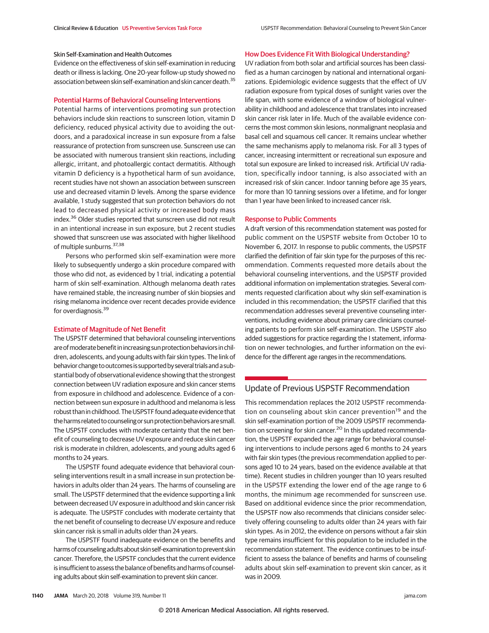# Skin Self-Examination and Health Outcomes

Evidence on the effectiveness of skin self-examination in reducing death or illness is lacking. One 20-year follow-up study showed no association between skin self-examination and skin cancer death.<sup>35</sup>

# Potential Harms of Behavioral Counseling Interventions

Potential harms of interventions promoting sun protection behaviors include skin reactions to sunscreen lotion, vitamin D deficiency, reduced physical activity due to avoiding the outdoors, and a paradoxical increase in sun exposure from a false reassurance of protection from sunscreen use. Sunscreen use can be associated with numerous transient skin reactions, including allergic, irritant, and photoallergic contact dermatitis. Although vitamin D deficiency is a hypothetical harm of sun avoidance, recent studies have not shown an association between sunscreen use and decreased vitamin D levels. Among the sparse evidence available, 1 study suggested that sun protection behaviors do not lead to decreased physical activity or increased body mass index.<sup>36</sup> Older studies reported that sunscreen use did not result in an intentional increase in sun exposure, but 2 recent studies showed that sunscreen use was associated with higher likelihood of multiple sunburns. 37,38

Persons who performed skin self-examination were more likely to subsequently undergo a skin procedure compared with those who did not, as evidenced by 1 trial, indicating a potential harm of skin self-examination. Although melanoma death rates have remained stable, the increasing number of skin biopsies and rising melanoma incidence over recent decades provide evidence for overdiagnosis.<sup>39</sup>

## Estimate of Magnitude of Net Benefit

The USPSTF determined that behavioral counseling interventions are of moderate benefit in increasing sun protection behaviors in children, adolescents, and young adults with fair skin types. The link of behavior change to outcomes is supported by several trialsanda substantial body of observational evidence showing that the strongest connection between UV radiation exposure and skin cancer stems from exposure in childhood and adolescence. Evidence of a connection between sun exposure in adulthood and melanoma is less robust than in childhood. The USPSTF found adequate evidence that the harms related to counseling or sun protection behaviors are small. The USPSTF concludes with moderate certainty that the net benefit of counseling to decrease UV exposure and reduce skin cancer risk is moderate in children, adolescents, and young adults aged 6 months to 24 years.

The USPSTF found adequate evidence that behavioral counseling interventions result in a small increase in sun protection behaviors in adults older than 24 years. The harms of counseling are small. The USPSTF determined that the evidence supporting a link between decreased UV exposure in adulthood and skin cancer risk is adequate. The USPSTF concludes with moderate certainty that the net benefit of counseling to decrease UV exposure and reduce skin cancer risk is small in adults older than 24 years.

The USPSTF found inadequate evidence on the benefits and harms of counseling adults about skin self-examination to prevent skin cancer. Therefore, the USPSTF concludes that the current evidence is insufficient to assess the balance of benefits and harms of counseling adults about skin self-examination to prevent skin cancer.

#### How Does Evidence Fit With Biological Understanding?

UV radiation from both solar and artificial sources has been classified as a human carcinogen by national and international organizations. Epidemiologic evidence suggests that the effect of UV radiation exposure from typical doses of sunlight varies over the life span, with some evidence of a window of biological vulnerability in childhood and adolescence that translates into increased skin cancer risk later in life. Much of the available evidence concerns the most common skin lesions, nonmalignant neoplasia and basal cell and squamous cell cancer. It remains unclear whether the same mechanisms apply to melanoma risk. For all 3 types of cancer, increasing intermittent or recreational sun exposure and total sun exposure are linked to increased risk. Artificial UV radiation, specifically indoor tanning, is also associated with an increased risk of skin cancer. Indoor tanning before age 35 years, for more than 10 tanning sessions over a lifetime, and for longer than 1 year have been linked to increased cancer risk.

# Response to Public Comments

A draft version of this recommendation statement was posted for public comment on the USPSTF website from October 10 to November 6, 2017. In response to public comments, the USPSTF clarified the definition of fair skin type for the purposes of this recommendation. Comments requested more details about the behavioral counseling interventions, and the USPSTF provided additional information on implementation strategies. Several comments requested clarification about why skin self-examination is included in this recommendation; the USPSTF clarified that this recommendation addresses several preventive counseling interventions, including evidence about primary care clinicians counseling patients to perform skin self-examination. The USPSTF also added suggestions for practice regarding the I statement, information on newer technologies, and further information on the evidence for the different age ranges in the recommendations.

# Update of Previous USPSTF Recommendation

This recommendation replaces the 2012 USPSTF recommendation on counseling about skin cancer prevention<sup>19</sup> and the skin self-examination portion of the 2009 USPSTF recommendation on screening for skin cancer.<sup>20</sup> In this updated recommendation, the USPSTF expanded the age range for behavioral counseling interventions to include persons aged 6 months to 24 years with fair skin types (the previous recommendation applied to persons aged 10 to 24 years, based on the evidence available at that time). Recent studies in children younger than 10 years resulted in the USPSTF extending the lower end of the age range to 6 months, the minimum age recommended for sunscreen use. Based on additional evidence since the prior recommendation, the USPSTF now also recommends that clinicians consider selectively offering counseling to adults older than 24 years with fair skin types. As in 2012, the evidence on persons without a fair skin type remains insufficient for this population to be included in the recommendation statement. The evidence continues to be insufficient to assess the balance of benefits and harms of counseling adults about skin self-examination to prevent skin cancer, as it was in 2009.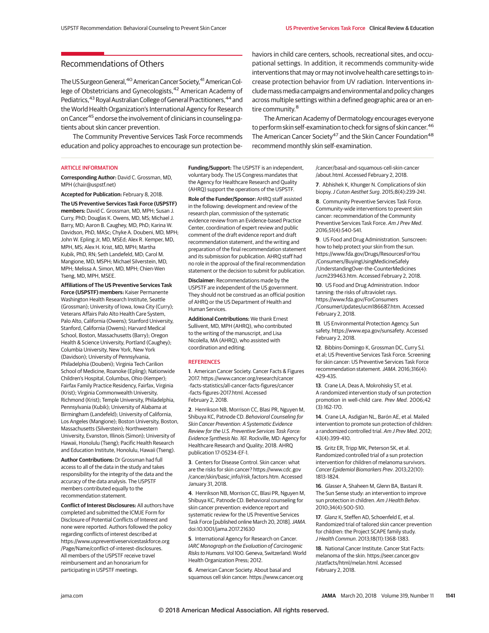# Recommendations of Others

The US Surgeon General, <sup>40</sup> American Cancer Society, <sup>41</sup> American College of Obstetricians and Gynecologists,<sup>42</sup> American Academy of Pediatrics, <sup>43</sup> Royal Australian College of General Practitioners, <sup>44</sup> and the World Health Organization's International Agency for Research on Cancer45 endorse the involvement of clinicians in counseling patients about skin cancer prevention.

The Community Preventive Services Task Force recommends education and policy approaches to encourage sun protection be-

#### ARTICLE INFORMATION

**Corresponding Author:** David C. Grossman, MD, MPH (chair@uspstf.net)

**Accepted for Publication:** February 8, 2018.

**The US Preventive Services Task Force (USPSTF) members:** David C. Grossman, MD, MPH; Susan J. Curry, PhD; Douglas K. Owens, MD, MS; Michael J. Barry, MD; Aaron B. Caughey, MD, PhD; Karina W. Davidson, PhD, MASc; Chyke A. Doubeni, MD, MPH; John W. Epling Jr, MD, MSEd; Alex R. Kemper, MD, MPH, MS; Alex H. Krist, MD, MPH; Martha Kubik, PhD, RN; Seth Landefeld, MD; Carol M. Mangione, MD, MSPH; Michael Silverstein, MD, MPH; Melissa A. Simon, MD, MPH; Chien-Wen Tseng, MD, MPH, MSEE.

**Affiliations of The US Preventive Services Task Force (USPSTF) members:** Kaiser Permanente Washington Health Research Institute, Seattle (Grossman); University of Iowa, Iowa City (Curry); Veterans Affairs Palo Alto Health Care System, Palo Alto, California (Owens); Stanford University, Stanford, California (Owens); Harvard Medical School, Boston, Massachusetts (Barry); Oregon Health & Science University, Portland (Caughey); Columbia University, New York, New York (Davidson); University of Pennsylvania, Philadelphia (Doubeni); Virginia Tech Carilion School of Medicine, Roanoke (Epling); Nationwide Children's Hospital, Columbus, Ohio (Kemper); Fairfax Family Practice Residency, Fairfax, Virginia (Krist); Virginia Commonwealth University, Richmond (Krist); Temple University, Philadelphia, Pennsylvania (Kubik); University of Alabama at Birmingham (Landefeld); University of California, Los Angeles (Mangione); Boston University, Boston, Massachusetts (Silverstein); Northwestern University, Evanston, Illinois (Simon); University of Hawaii, Honolulu (Tseng); Pacific Health Research and Education Institute, Honolulu, Hawaii (Tseng).

**Author Contributions:** Dr Grossman had full access to all of the data in the study and takes responsibility for the integrity of the data and the accuracy of the data analysis. The USPSTF members contributed equally to the recommendation statement.

**Conflict of Interest Disclosures:** All authors have completed and submitted the ICMJE Form for Disclosure of Potential Conflicts of Interest and none were reported. Authors followed the policy regarding conflicts of interest described at https://www.uspreventiveservicestaskforce.org /Page/Name/conflict-of-interest-disclosures. All members of the USPSTF receive travel reimbursement and an honorarium for participating in USPSTF meetings.

**Funding/Support:** The USPSTF is an independent, voluntary body. The US Congress mandates that the Agency for Healthcare Research and Quality (AHRQ) support the operations of the USPSTF.

**Role of the Funder/Sponsor:** AHRQ staff assisted in the following: development and review of the research plan, commission of the systematic evidence review from an Evidence-based Practice Center, coordination of expert review and public comment of the draft evidence report and draft recommendation statement, and the writing and preparation of the final recommendation statement and its submission for publication. AHRQ staff had no role in the approval of the final recommendation statement or the decision to submit for publication.

**Disclaimer:** Recommendations made by the USPSTF are independent of the US government. They should not be construed as an official position of AHRQ or the US Department of Health and Human Services.

**Additional Contributions:** We thank Ernest Sullivent, MD, MPH (AHRQ), who contributed to the writing of the manuscript, and Lisa Nicolella, MA (AHRQ), who assisted with coordination and editing.

#### **REFERENCES**

**1**. American Cancer Society. Cancer Facts & Figures 2017. https://www.cancer.org/research/cancer -facts-statistics/all-cancer-facts-figures/cancer -facts-figures-2017.html. Accessed February 2, 2018.

**2**. Henrikson NB, Morrison CC, Blasi PR, Nguyen M, Shibuya KC, Patnode CD. Behavioral Counseling for Skin Cancer Prevention: A Systematic Evidence Review for the U.S. Preventive Services Task Force: Evidence Synthesis No. 161. Rockville, MD: Agency for Healthcare Research and Quality; 2018. AHRQ publication 17-05234-EF-1.

**3**. Centers for Disease Control. Skin cancer: what are the risks for skin cancer? https://www.cdc.gov /cancer/skin/basic\_info/risk\_factors.htm. Accessed January 31, 2018.

**4**. Henrikson NB, Morrison CC, Blasi PR, Nguyen M, Shibuya KC, Patnode CD. Behavioral counseling for skin cancer prevention: evidence report and systematic review for the US Preventive Services Task Force [published online March 20, 2018]. JAMA. doi:10.1001/jama.2017.21630

**5**. International Agency for Research on Cancer. IARC Monograph on the Evaluation of Carcinogenic Risks to Humans. Vol 100. Geneva, Switzerland: World Health Organization Press; 2012.

**6**. American Cancer Society. About basal and squamous cell skin cancer. https://www.cancer.org

haviors in child care centers, schools, recreational sites, and occupational settings. In addition, it recommends community-wide interventions that may or may not involve health care settings to increase protection behavior from UV radiation. Interventions includemassmedia campaigns and environmental and policy changes across multiple settings within a defined geographic area or an entire community.<sup>8</sup>

The American Academy of Dermatology encourages everyone to perform skin self-examination to check for signs of skin cancer.<sup>46</sup> The American Cancer Society<sup>47</sup> and the Skin Cancer Foundation<sup>48</sup> recommend monthly skin self-examination.

> /cancer/basal-and-squamous-cell-skin-cancer /about.html. Accessed February 2, 2018.

**7**. Abhishek K, Khunger N. Complications of skin biopsy.J Cutan Aesthet Surg. 2015;8(4):239-241.

**8**. Community Preventive Services Task Force. Community-wide interventions to prevent skin cancer: recommendation of the Community Preventive Services Task Force. Am J Prev Med. 2016;51(4):540-541.

**9**. US Food and Drug Administration. Sunscreen: how to help protect your skin from the sun. https://www.fda.gov/Drugs/ResourcesForYou /Consumers/BuyingUsingMedicineSafely /UnderstandingOver-the-CounterMedicines /ucm239463.htm. Accessed February 2, 2018.

**10**. US Food and Drug Administration. Indoor tanning: the risks of ultraviolet rays. https://www.fda.gov/ForConsumers /ConsumerUpdates/ucm186687.htm. Accessed February 2, 2018.

**11**. US Environmental Protection Agency. Sun safety. https://www.epa.gov/sunsafety. Accessed February 2, 2018.

**12**. Bibbins-Domingo K, Grossman DC, Curry SJ, et al; US Preventive Services Task Force. Screening for skin cancer: US Preventive Services Task Force recommendation statement.JAMA. 2016;316(4): 429-435.

**13**. Crane LA, Deas A, Mokrohisky ST, et al. A randomized intervention study of sun protection promotion in well-child care. Prev Med. 2006;42 (3):162-170.

**14**. Crane LA, Asdigian NL, Barón AE, et al. Mailed intervention to promote sun protection of children: a randomized controlled trial. Am J Prev Med. 2012; 43(4):399-410.

**15**. Gritz ER, Tripp MK, Peterson SK, et al. Randomized controlled trial of a sun protection intervention for children of melanoma survivors. Cancer Epidemiol Biomarkers Prev. 2013;22(10): 1813-1824.

**16**. Glasser A, Shaheen M, Glenn BA, Bastani R. The Sun Sense study: an intervention to improve sun protection in children. Am J Health Behav. 2010;34(4):500-510.

**17**. Glanz K, Steffen AD, Schoenfeld E, et al. Randomized trial of tailored skin cancer prevention for children: the Project SCAPE family study. J Health Commun. 2013;18(11):1368-1383.

**18**. National Cancer Institute. Cancer Stat Facts: melanoma of the skin. https://seer.cancer.gov /statfacts/html/melan.html. Accessed February 2, 2018.